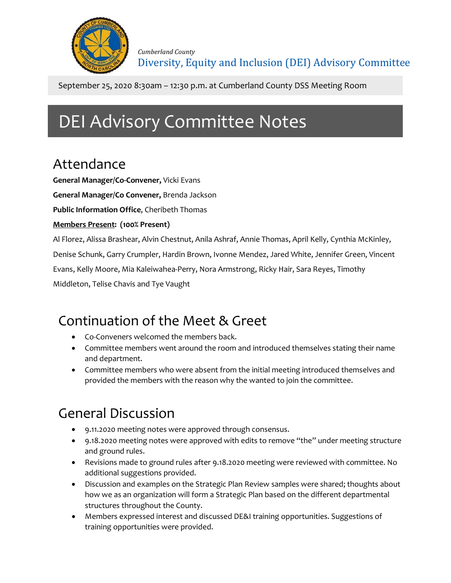

September 25, 2020 8:30am – 12:30 p.m. at Cumberland County DSS Meeting Room

# DEI Advisory Committee Notes

## Attendance

**General Manager/Co-Convener,** Vicki Evans

**General Manager/Co Convener,** Brenda Jackson

**Public Information Office**, Cheribeth Thomas

#### **Members Present: (100% Present)**

Al Florez, Alissa Brashear, Alvin Chestnut, Anila Ashraf, Annie Thomas, April Kelly, Cynthia McKinley,

Denise Schunk, Garry Crumpler, Hardin Brown, Ivonne Mendez, Jared White, Jennifer Green, Vincent

Evans, Kelly Moore, Mia Kaleiwahea-Perry, Nora Armstrong, Ricky Hair, Sara Reyes, Timothy

Middleton, Telise Chavis and Tye Vaught

## Continuation of the Meet & Greet

- Co-Conveners welcomed the members back.
- Committee members went around the room and introduced themselves stating their name and department.
- Committee members who were absent from the initial meeting introduced themselves and provided the members with the reason why the wanted to join the committee.

## General Discussion

- 9.11.2020 meeting notes were approved through consensus.
- 9.18.2020 meeting notes were approved with edits to remove "the" under meeting structure and ground rules.
- Revisions made to ground rules after 9.18.2020 meeting were reviewed with committee. No additional suggestions provided.
- Discussion and examples on the Strategic Plan Review samples were shared; thoughts about how we as an organization will form a Strategic Plan based on the different departmental structures throughout the County.
- Members expressed interest and discussed DE&I training opportunities. Suggestions of training opportunities were provided.